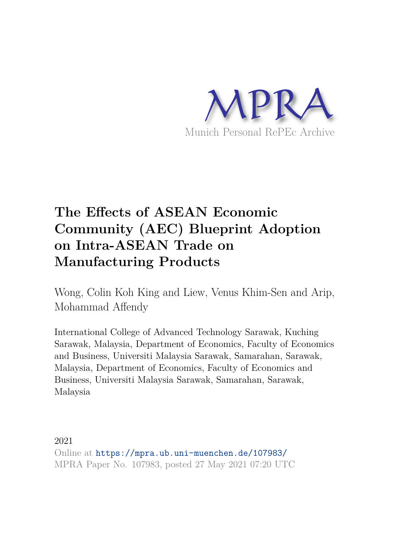

# **The Effects of ASEAN Economic Community (AEC) Blueprint Adoption on Intra-ASEAN Trade on Manufacturing Products**

Wong, Colin Koh King and Liew, Venus Khim-Sen and Arip, Mohammad Affendy

International College of Advanced Technology Sarawak, Kuching Sarawak, Malaysia, Department of Economics, Faculty of Economics and Business, Universiti Malaysia Sarawak, Samarahan, Sarawak, Malaysia, Department of Economics, Faculty of Economics and Business, Universiti Malaysia Sarawak, Samarahan, Sarawak, Malaysia

2021 Online at https://mpra.ub.uni-muenchen.de/107983/ MPRA Paper No. 107983, posted 27 May 2021 07:20 UTC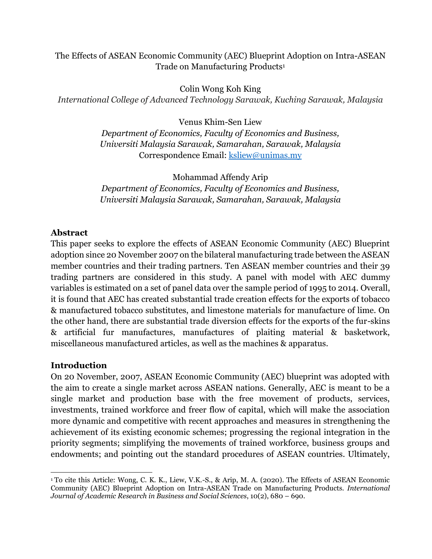### The Effects of ASEAN Economic Community (AEC) Blueprint Adoption on Intra-ASEAN Trade on Manufacturing Products<sup>1</sup>

Colin Wong Koh King *International College of Advanced Technology Sarawak, Kuching Sarawak, Malaysia*

Venus Khim-Sen Liew

*Department of Economics, Faculty of Economics and Business, Universiti Malaysia Sarawak, Samarahan, Sarawak, Malaysia*  Correspondence Email: [ksliew@unimas.my](mailto:ksliew@unimas.my) 

Mohammad Affendy Arip *Department of Economics, Faculty of Economics and Business, Universiti Malaysia Sarawak, Samarahan, Sarawak, Malaysia* 

# **Abstract**

This paper seeks to explore the effects of ASEAN Economic Community (AEC) Blueprint adoption since 20 November 2007 on the bilateral manufacturing trade between the ASEAN member countries and their trading partners. Ten ASEAN member countries and their 39 trading partners are considered in this study. A panel with model with AEC dummy variables is estimated on a set of panel data over the sample period of 1995 to 2014. Overall, it is found that AEC has created substantial trade creation effects for the exports of tobacco & manufactured tobacco substitutes, and limestone materials for manufacture of lime. On the other hand, there are substantial trade diversion effects for the exports of the fur-skins & artificial fur manufactures, manufactures of plaiting material & basketwork, miscellaneous manufactured articles, as well as the machines & apparatus.

# **Introduction**

 $\overline{a}$ 

On 20 November, 2007, ASEAN Economic Community (AEC) blueprint was adopted with the aim to create a single market across ASEAN nations. Generally, AEC is meant to be a single market and production base with the free movement of products, services, investments, trained workforce and freer flow of capital, which will make the association more dynamic and competitive with recent approaches and measures in strengthening the achievement of its existing economic schemes; progressing the regional integration in the priority segments; simplifying the movements of trained workforce, business groups and endowments; and pointing out the standard procedures of ASEAN countries. Ultimately,

<sup>1</sup> To cite this Article: Wong, C. K. K., Liew, V.K.-S., & Arip, M. A. (2020). The Effects of ASEAN Economic Community (AEC) Blueprint Adoption on Intra-ASEAN Trade on Manufacturing Products. *International Journal of Academic Research in Business and Social Sciences*, 10(2), 680 – 690.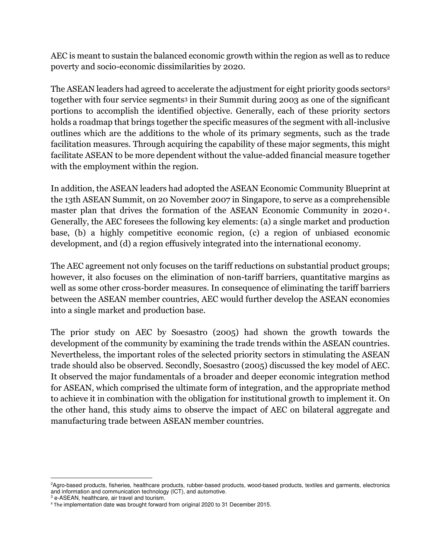AEC is meant to sustain the balanced economic growth within the region as well as to reduce poverty and socio-economic dissimilarities by 2020.

The ASEAN leaders had agreed to accelerate the adjustment for eight priority goods sectors<sup>2</sup> together with four service segments3 in their Summit during 2003 as one of the significant portions to accomplish the identified objective. Generally, each of these priority sectors holds a roadmap that brings together the specific measures of the segment with all-inclusive outlines which are the additions to the whole of its primary segments, such as the trade facilitation measures. Through acquiring the capability of these major segments, this might facilitate ASEAN to be more dependent without the value-added financial measure together with the employment within the region.

In addition, the ASEAN leaders had adopted the ASEAN Economic Community Blueprint at the 13th ASEAN Summit, on 20 November 2007 in Singapore, to serve as a comprehensible master plan that drives the formation of the ASEAN Economic Community in 2020<sup>4</sup> . Generally, the AEC foresees the following key elements: (a) a single market and production base, (b) a highly competitive economic region, (c) a region of unbiased economic development, and (d) a region effusively integrated into the international economy.

The AEC agreement not only focuses on the tariff reductions on substantial product groups; however, it also focuses on the elimination of non-tariff barriers, quantitative margins as well as some other cross-border measures. In consequence of eliminating the tariff barriers between the ASEAN member countries, AEC would further develop the ASEAN economies into a single market and production base.

The prior study on AEC by Soesastro (2005) had shown the growth towards the development of the community by examining the trade trends within the ASEAN countries. Nevertheless, the important roles of the selected priority sectors in stimulating the ASEAN trade should also be observed. Secondly, Soesastro (2005) discussed the key model of AEC. It observed the major fundamentals of a broader and deeper economic integration method for ASEAN, which comprised the ultimate form of integration, and the appropriate method to achieve it in combination with the obligation for institutional growth to implement it. On the other hand, this study aims to observe the impact of AEC on bilateral aggregate and manufacturing trade between ASEAN member countries.

l

<sup>&</sup>lt;sup>2</sup>Agro-based products, fisheries, healthcare products, rubber-based products, wood-based products, textiles and garments, electronics and information and communication technology (ICT), and automotive.

<sup>3</sup> e-ASEAN, healthcare, air travel and tourism.

<sup>&</sup>lt;sup>4</sup> The implementation date was brought forward from original 2020 to 31 December 2015.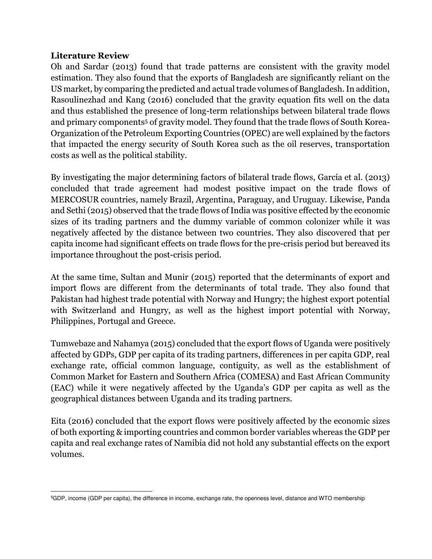### **Literature Review**

 $\overline{a}$ 

Oh and Sardar (2013) found that trade patterns are consistent with the gravity model estimation. They also found that the exports of Bangladesh are significantly reliant on the US market, by comparing the predicted and actual trade volumes of Bangladesh. In addition, Rasoulinezhad and Kang (2016) concluded that the gravity equation fits well on the data and thus established the presence of long-term relationships between bilateral trade flows and primary components<sup>5</sup> of gravity model. They found that the trade flows of South Korea-Organization of the Petroleum Exporting Countries (OPEC) are well explained by the factors that impacted the energy security of South Korea such as the oil reserves, transportation costs as well as the political stability.

By investigating the major determining factors of bilateral trade flows, García et al. (2013) concluded that trade agreement had modest positive impact on the trade flows of MERCOSUR countries, namely Brazil, Argentina, Paraguay, and Uruguay. Likewise, Panda and Sethi (2015) observed that the trade flows of India was positive effected by the economic sizes of its trading partners and the dummy variable of common colonizer while it was negatively affected by the distance between two countries. They also discovered that per capita income had significant effects on trade flows for the pre-crisis period but bereaved its importance throughout the post-crisis period.

At the same time, Sultan and Munir (2015) reported that the determinants of export and import flows are different from the determinants of total trade. They also found that Pakistan had highest trade potential with Norway and Hungry; the highest export potential with Switzerland and Hungry, as well as the highest import potential with Norway, Philippines, Portugal and Greece.

Tumwebaze and Nahamya (2015) concluded that the export flows of Uganda were positively affected by GDPs, GDP per capita of its trading partners, differences in per capita GDP, real exchange rate, official common language, contiguity, as well as the establishment of Common Market for Eastern and Southern Africa (COMESA) and East African Community (EAC) while it were negatively affected by the Uganda's GDP per capita as well as the geographical distances between Uganda and its trading partners.

Eita (2016) concluded that the export flows were positively affected by the economic sizes of both exporting & importing countries and common border variables whereas the GDP per capita and real exchange rates of Namibia did not hold any substantial effects on the export volumes.

<sup>5</sup>GDP, income (GDP per capita), the difference in income, exchange rate, the openness level, distance and WTO membership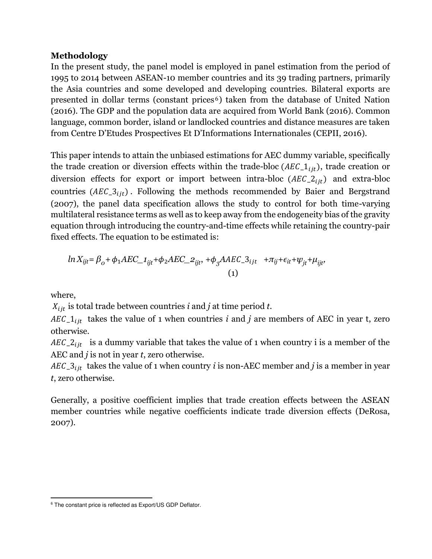#### **Methodology**

In the present study, the panel model is employed in panel estimation from the period of 1995 to 2014 between ASEAN-10 member countries and its 39 trading partners, primarily the Asia countries and some developed and developing countries. Bilateral exports are presented in dollar terms (constant prices <sup>6</sup>) taken from the database of United Nation (2016). The GDP and the population data are acquired from World Bank (2016). Common language, common border, island or landlocked countries and distance measures are taken from Centre D'Etudes Prospectives Et D'Informations Internationales (CEPII, 2016).

This paper intends to attain the unbiased estimations for AEC dummy variable, specifically the trade creation or diversion effects within the trade-bloc ( $AEC_1_{ij}$ ), trade creation or diversion effects for export or import between intra-bloc  $(AEC_2)_{it}$  and extra-bloc countries  $(AEC_3_{ijt})$ . Following the methods recommended by Baier and Bergstrand (2007), the panel data specification allows the study to control for both time-varying multilateral resistance terms as well as to keep away from the endogeneity bias of the gravity equation through introducing the country-and-time effects while retaining the country-pair fixed effects. The equation to be estimated is:

$$
ln X_{ijt} = \beta_o + \phi_1 AEC_{1ijt} + \phi_2 AEC_{2ijt}, +\phi_3 AAEC_{3ijt} + \pi_{ij} + \epsilon_{it} + \psi_{jt} + \mu_{ijt},
$$
  
(1)

where,

l

 $X_{i}$  is total trade between countries *i* and *j* at time period *t*.

 $AEC_1_{ijt}$  takes the value of 1 when countries *i* and *j* are members of AEC in year t, zero otherwise.

 $AEC_2_{iit}$  is a dummy variable that takes the value of 1 when country i is a member of the AEC and *j* is not in year *t*, zero otherwise.

 $AEC_3_{ijt}$  takes the value of 1 when country *i* is non-AEC member and *j* is a member in year *t*, zero otherwise.

Generally, a positive coefficient implies that trade creation effects between the ASEAN member countries while negative coefficients indicate trade diversion effects (DeRosa, 2007).

<sup>6</sup> The constant price is reflected as Export/US GDP Deflator.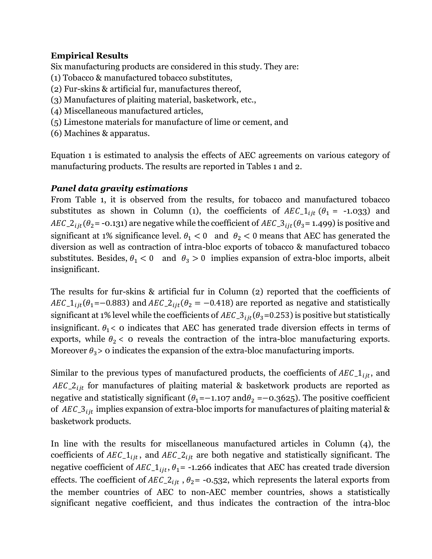## **Empirical Results**

Six manufacturing products are considered in this study. They are:

- (1) Tobacco & manufactured tobacco substitutes,
- (2) Fur-skins & artificial fur, manufactures thereof,
- (3) Manufactures of plaiting material, basketwork, etc.,
- (4) Miscellaneous manufactured articles,
- (5) Limestone materials for manufacture of lime or cement, and
- (6) Machines & apparatus.

Equation 1 is estimated to analysis the effects of AEC agreements on various category of manufacturing products. The results are reported in Tables 1 and 2.

## *Panel data gravity estimations*

From Table 1, it is observed from the results, for tobacco and manufactured tobacco substitutes as shown in Column (1), the coefficients of  $AEC_1_{ijt}$  ( $\theta_1$  = -1.033) and  $AEC_2_{ijt}(\theta_2 = -0.131)$  are negative while the coefficient of  $AEC_3_{ijt}(\theta_3 = 1.499)$  is positive and significant at 1% significance level.  $\theta_1 < 0$  and  $\theta_2 < 0$  means that AEC has generated the diversion as well as contraction of intra-bloc exports of tobacco & manufactured tobacco substitutes. Besides,  $\theta_1 < 0$  and  $\theta_3 > 0$  implies expansion of extra-bloc imports, albeit insignificant.

The results for fur-skins & artificial fur in Column (2) reported that the coefficients of  $AEC_1_{ijt}(\theta_1=-0.883)$  and  $AEC_2_{ijt}(\theta_2=-0.418)$  are reported as negative and statistically significant at 1% level while the coefficients of  $AEC_3_{ijt}(\theta_3=0.253)$  is positive but statistically insignificant.  $\theta_1$ < 0 indicates that AEC has generated trade diversion effects in terms of exports, while  $\theta_2$  < 0 reveals the contraction of the intra-bloc manufacturing exports. Moreover  $\theta_3$  > 0 indicates the expansion of the extra-bloc manufacturing imports.

Similar to the previous types of manufactured products, the coefficients of  $AEC_1_{i}$ , and  $AEC_2_{ijt}$  for manufactures of plaiting material & basketwork products are reported as negative and statistically significant ( $\theta_1$ =−1.107 and $\theta_2$  =−0.3625). The positive coefficient of  $AEC_3$  implies expansion of extra-bloc imports for manufactures of plaiting material & basketwork products.

In line with the results for miscellaneous manufactured articles in Column (4), the coefficients of  $AEC_1_{ijt}$ , and  $AEC_2_{ijt}$  are both negative and statistically significant. The negative coefficient of  $AEC_1_{ijt}$ ,  $\theta_1$  = -1.266 indicates that AEC has created trade diversion effects. The coefficient of  $AEC_2_{ijt}$ ,  $\theta_2$  = -0.532, which represents the lateral exports from the member countries of AEC to non-AEC member countries, shows a statistically significant negative coefficient, and thus indicates the contraction of the intra-bloc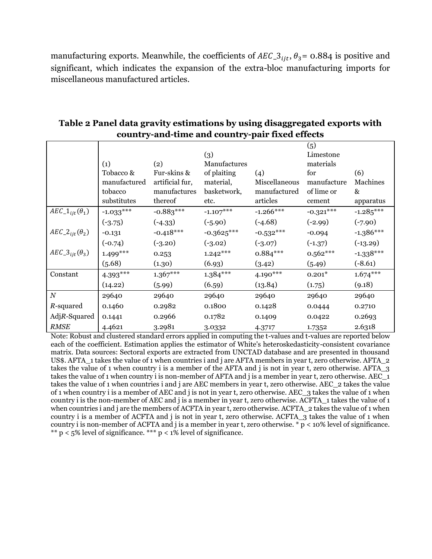manufacturing exports. Meanwhile, the coefficients of  $AEC_3$ <sub>iit</sub>,  $\theta_3$ = 0.884 is positive and significant, which indicates the expansion of the extra-bloc manufacturing imports for miscellaneous manufactured articles.

|                                     |              |                 | (3)          |               | (5)<br>Limestone |             |
|-------------------------------------|--------------|-----------------|--------------|---------------|------------------|-------------|
|                                     | (1)          | (2)             | Manufactures |               | materials        |             |
|                                     | Tobacco &    | Fur-skins &     | of plaiting  | (4)           | for              | (6)         |
|                                     | manufactured | artificial fur, | material,    | Miscellaneous | manufacture      | Machines    |
|                                     | tobacco      | manufactures    | basketwork,  | manufactured  | of lime or       | &           |
|                                     | substitutes  | thereof         | etc.         | articles      | cement           | apparatus   |
| $AEC_1_{ijt}(\theta_1)$             | $-1.033***$  | $-0.883***$     | $-1.107***$  | $-1.266***$   | $-0.321***$      | $-1.285***$ |
|                                     | $(-3.75)$    | $(-4.33)$       | $(-5.90)$    | $(-4.68)$     | $(-2.99)$        | $(-7.90)$   |
| $AEC_2_{iit}(\theta_2)$             | $-0.131$     | $-0.418***$     | $-0.3625***$ | $-0.532***$   | $-0.094$         | $-1.386***$ |
|                                     | $(-0.74)$    | $(-3.20)$       | $(-3.02)$    | $(-3.07)$     | $(-1.37)$        | $(-13.29)$  |
| $AEC_3$ <sub>iit</sub> $(\theta_3)$ | $1.499***$   | 0.253           | $1.242***$   | $0.884***$    | $0.562***$       | $-1.338***$ |
|                                     | (5.68)       | (1.30)          | (6.93)       | (3.42)        | (5.49)           | $(-8.61)$   |
| Constant                            | $4.393***$   | $1.367***$      | $1.384***$   | $4.190***$    | $0.201*$         | $1.674***$  |
|                                     | (14.22)      | (5.99)          | (6.59)       | (13.84)       | (1.75)           | (9.18)      |
| $\boldsymbol{N}$                    | 29640        | 29640           | 29640        | 29640         | 29640            | 29640       |
| R-squared                           | 0.1460       | 0.2982          | 0.1800       | 0.1428        | 0.0444           | 0.2710      |
| $AdjR-Squared$                      | 0.1441       | 0.2966          | 0.1782       | 0.1409        | 0.0422           | 0.2693      |
| <b>RMSE</b>                         | 4.4621       | 3.2981          | 3.0332       | 4.3717        | 1.7352           | 2.6318      |

### **Table 2 Panel data gravity estimations by using disaggregated exports with country-and-time and country-pair fixed effects**

Note: Robust and clustered standard errors applied in computing the t-values and t-values are reported below each of the coefficient. Estimation applies the estimator of White's heteroskedasticity-consistent covariance matrix. Data sources: Sectoral exports are extracted from UNCTAD database and are presented in thousand US\$. AFTA\_1 takes the value of 1 when countries i and j are AFTA members in year t, zero otherwise. AFTA\_2 takes the value of 1 when country i is a member of the AFTA and j is not in year t, zero otherwise. AFTA\_3 takes the value of 1 when country i is non-member of AFTA and j is a member in year t, zero otherwise. AEC\_1 takes the value of 1 when countries i and j are AEC members in year t, zero otherwise. AEC\_2 takes the value of 1 when country i is a member of AEC and j is not in year t, zero otherwise. AEC\_3 takes the value of 1 when country i is the non-member of AEC and j is a member in year t, zero otherwise. ACFTA\_1 takes the value of 1 when countries i and j are the members of ACFTA in year t, zero otherwise. ACFTA 2 takes the value of 1 when country i is a member of ACFTA and j is not in year t, zero otherwise. ACFTA\_3 takes the value of 1 when country i is non-member of ACFTA and j is a member in year t, zero otherwise.  $\frac{1}{T} p \lt 10\%$  level of significance.  $*$  p < 5% level of significance.  $**$  p < 1% level of significance.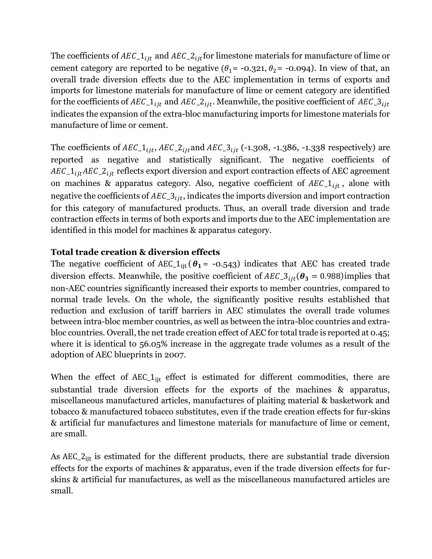The coefficients of  $AEC_1_{i}$  and  $AEC_2_{i}$  for limestone materials for manufacture of lime or cement category are reported to be negative  $(\theta_1 = -0.321, \theta_2 = -0.094)$ . In view of that, an overall trade diversion effects due to the AEC implementation in terms of exports and imports for limestone materials for manufacture of lime or cement category are identified for the coefficients of  $AEC_1_{ijt}$  and  $AEC_2_{ijt}$ . Meanwhile, the positive coefficient of  $AEC_3_{ijt}$ indicates the expansion of the extra-bloc manufacturing imports for limestone materials for manufacture of lime or cement.

The coefficients of  $AEC_1_{iit}$ ,  $AEC_2_{iit}$  and  $AEC_3_{iit}$  (-1.308, -1.386, -1.338 respectively) are reported as negative and statistically significant. The negative coefficients of  $AEC_1_{i}AEC_2_{i}$  reflects export diversion and export contraction effects of AEC agreement on machines & apparatus category. Also, negative coefficient of  $AEC_1_{ijt}$ , alone with negative the coefficients of  $AEC_3$ , indicates the imports diversion and import contraction for this category of manufactured products. Thus, an overall trade diversion and trade contraction effects in terms of both exports and imports due to the AEC implementation are identified in this model for machines & apparatus category.

### **Total trade creation & diversion effects**

The negative coefficient of AEC<sub>1it</sub> ( $\theta_1$  = -0.543) indicates that AEC has created trade diversion effects. Meanwhile, the positive coefficient of  $AEC_3$ <sub>iit</sub> $(\theta_3 = 0.988)$  implies that non-AEC countries significantly increased their exports to member countries, compared to normal trade levels. On the whole, the significantly positive results established that reduction and exclusion of tariff barriers in AEC stimulates the overall trade volumes between intra-bloc member countries, as well as between the intra-bloc countries and extrabloc countries. Overall, the net trade creation effect of AEC for total trade is reported at 0.45; where it is identical to 56.05% increase in the aggregate trade volumes as a result of the adoption of AEC blueprints in 2007.

When the effect of AEC<sub>1it</sub> effect is estimated for different commodities, there are substantial trade diversion effects for the exports of the machines & apparatus, miscellaneous manufactured articles, manufactures of plaiting material & basketwork and tobacco & manufactured tobacco substitutes, even if the trade creation effects for fur-skins & artificial fur manufactures and limestone materials for manufacture of lime or cement, are small.

As  $AEC_2_{ijt}$  is estimated for the different products, there are substantial trade diversion effects for the exports of machines & apparatus, even if the trade diversion effects for furskins & artificial fur manufactures, as well as the miscellaneous manufactured articles are small.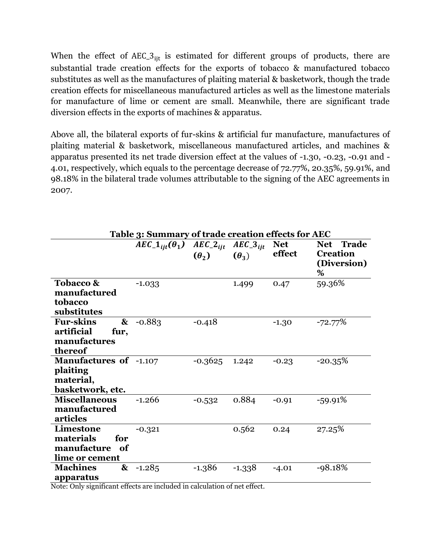When the effect of  $AEC_3$ <sub>it</sub> is estimated for different groups of products, there are substantial trade creation effects for the exports of tobacco & manufactured tobacco substitutes as well as the manufactures of plaiting material & basketwork, though the trade creation effects for miscellaneous manufactured articles as well as the limestone materials for manufacture of lime or cement are small. Meanwhile, there are significant trade diversion effects in the exports of machines & apparatus.

Above all, the bilateral exports of fur-skins & artificial fur manufacture, manufactures of plaiting material & basketwork, miscellaneous manufactured articles, and machines & apparatus presented its net trade diversion effect at the values of -1.30, -0.23, -0.91 and - 4.01, respectively, which equals to the percentage decrease of 72.77%, 20.35%, 59.91%, and 98.18% in the bilateral trade volumes attributable to the signing of the AEC agreements in 2007.

|                                                                            | $AEC_1_{iit}(\theta_1)$ $AEC_2_{iit}$ $AEC_3_{iit}$ | $(\theta_2)$ | $(\theta_3)$ | <b>Net</b><br>effect | Net Trade<br><b>Creation</b><br>(Diversion)<br>% |
|----------------------------------------------------------------------------|-----------------------------------------------------|--------------|--------------|----------------------|--------------------------------------------------|
| Tobacco &<br>manufactured<br>tobacco<br>substitutes                        | $-1.033$                                            |              | 1.499        | 0.47                 | 59.36%                                           |
| <b>Fur-skins</b><br>&<br>artificial<br>fur,<br>manufactures<br>thereof     | $-0.883$                                            | $-0.418$     |              | $-1.30$              | $-72.77\%$                                       |
| <b>Manufactures of -1.107</b><br>plaiting<br>material,<br>basketwork, etc. |                                                     | $-0.3625$    | 1.242        | $-0.23$              | $-20.35%$                                        |
| <b>Miscellaneous</b><br>manufactured<br>articles                           | $-1.266$                                            | $-0.532$     | 0.884        | $-0.91$              | $-59.91%$                                        |
| Limestone<br>materials<br>for<br>manufacture<br>of<br>lime or cement       | $-0.321$                                            |              | 0.562        | 0.24                 | 27.25%                                           |
| <b>Machines</b><br>$\boldsymbol{\&}$<br>apparatus                          | $-1.285$                                            | $-1.386$     | $-1.338$     | $-4.01$              | $-98.18%$                                        |

**Table 3: Summary of trade creation effects for AEC** 

Note: Only significant effects are included in calculation of net effect.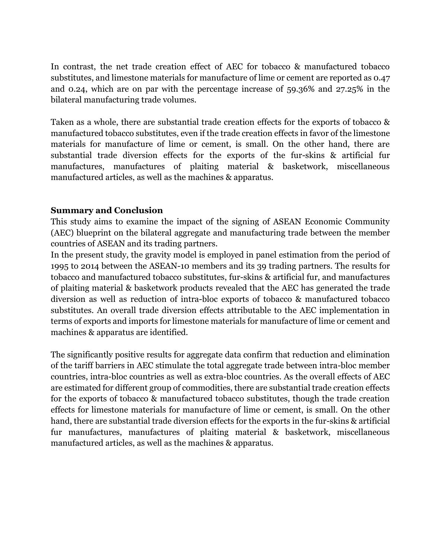In contrast, the net trade creation effect of AEC for tobacco & manufactured tobacco substitutes, and limestone materials for manufacture of lime or cement are reported as 0.47 and 0.24, which are on par with the percentage increase of 59.36% and 27.25% in the bilateral manufacturing trade volumes.

Taken as a whole, there are substantial trade creation effects for the exports of tobacco & manufactured tobacco substitutes, even if the trade creation effects in favor of the limestone materials for manufacture of lime or cement, is small. On the other hand, there are substantial trade diversion effects for the exports of the fur-skins & artificial fur manufactures, manufactures of plaiting material & basketwork, miscellaneous manufactured articles, as well as the machines & apparatus.

#### **Summary and Conclusion**

This study aims to examine the impact of the signing of ASEAN Economic Community (AEC) blueprint on the bilateral aggregate and manufacturing trade between the member countries of ASEAN and its trading partners.

In the present study, the gravity model is employed in panel estimation from the period of 1995 to 2014 between the ASEAN-10 members and its 39 trading partners. The results for tobacco and manufactured tobacco substitutes, fur-skins & artificial fur, and manufactures of plaiting material & basketwork products revealed that the AEC has generated the trade diversion as well as reduction of intra-bloc exports of tobacco & manufactured tobacco substitutes. An overall trade diversion effects attributable to the AEC implementation in terms of exports and imports for limestone materials for manufacture of lime or cement and machines & apparatus are identified.

The significantly positive results for aggregate data confirm that reduction and elimination of the tariff barriers in AEC stimulate the total aggregate trade between intra-bloc member countries, intra-bloc countries as well as extra-bloc countries. As the overall effects of AEC are estimated for different group of commodities, there are substantial trade creation effects for the exports of tobacco & manufactured tobacco substitutes, though the trade creation effects for limestone materials for manufacture of lime or cement, is small. On the other hand, there are substantial trade diversion effects for the exports in the fur-skins & artificial fur manufactures, manufactures of plaiting material & basketwork, miscellaneous manufactured articles, as well as the machines & apparatus.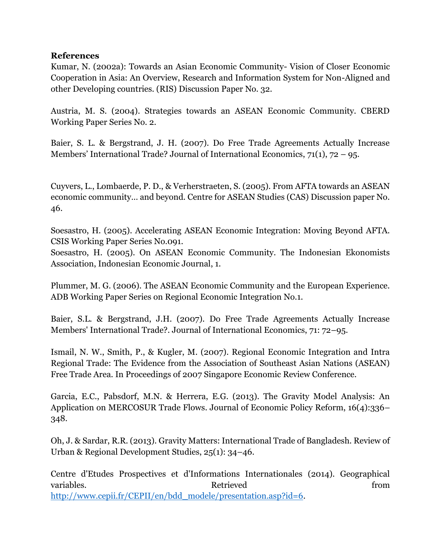#### **References**

Kumar, N. (2002a): Towards an Asian Economic Community- Vision of Closer Economic Cooperation in Asia: An Overview, Research and Information System for Non-Aligned and other Developing countries. (RIS) Discussion Paper No. 32.

Austria, M. S. (2004). Strategies towards an ASEAN Economic Community. CBERD Working Paper Series No. 2.

Baier, S. L. & Bergstrand, J. H. (2007). Do Free Trade Agreements Actually Increase Members' International Trade? Journal of International Economics,  $71(1)$ ,  $72 - 95$ .

Cuyvers, L., Lombaerde, P. D., & Verherstraeten, S. (2005). From AFTA towards an ASEAN economic community… and beyond. Centre for ASEAN Studies (CAS) Discussion paper No. 46.

Soesastro, H. (2005). Accelerating ASEAN Economic Integration: Moving Beyond AFTA. CSIS Working Paper Series No.091.

Soesastro, H. (2005). On ASEAN Economic Community. The Indonesian Ekonomists Association, Indonesian Economic Journal, 1.

Plummer, M. G. (2006). The ASEAN Economic Community and the European Experience. ADB Working Paper Series on Regional Economic Integration No.1.

Baier, S.L. & Bergstrand, J.H. (2007). Do Free Trade Agreements Actually Increase Members' International Trade?. Journal of International Economics, 71: 72–95.

Ismail, N. W., Smith, P., & Kugler, M. (2007). Regional Economic Integration and Intra Regional Trade: The Evidence from the Association of Southeast Asian Nations (ASEAN) Free Trade Area. In Proceedings of 2007 Singapore Economic Review Conference.

Garcia, E.C., Pabsdorf, M.N. & Herrera, E.G. (2013). The Gravity Model Analysis: An Application on MERCOSUR Trade Flows. Journal of Economic Policy Reform, 16(4):336– 348.

Oh, J. & Sardar, R.R. (2013). Gravity Matters: International Trade of Bangladesh. Review of Urban & Regional Development Studies, 25(1): 34–46.

Centre d'Etudes Prospectives et d'Informations Internationales (2014). Geographical variables. The contraction of the contraction of  $\blacksquare$  retrieved from  $\blacksquare$ [http://www.cepii.fr/CEPII/en/bdd\\_modele/presentation.asp?id=6.](http://www.cepii.fr/CEPII/en/bdd_modele/presentation.asp?id=6)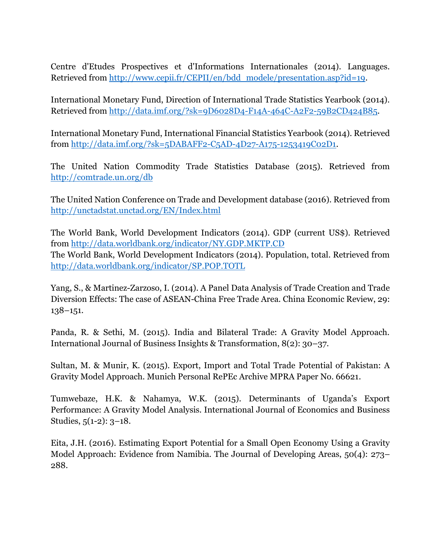Centre d'Etudes Prospectives et d'Informations Internationales (2014). Languages. Retrieved from [http://www.cepii.fr/CEPII/en/bdd\\_modele/presentation.asp?id=19.](http://www.cepii.fr/CEPII/en/bdd_modele/presentation.asp?id=19)

International Monetary Fund, Direction of International Trade Statistics Yearbook (2014). Retrieved from [http://data.imf.org/?sk=9D6028D4-F14A-464C-A2F2-59B2CD424B85.](http://data.imf.org/?sk=9D6028D4-F14A-464C-A2F2-59B2CD424B85)

International Monetary Fund, International Financial Statistics Yearbook (2014). Retrieved from [http://data.imf.org/?sk=5DABAFF2-C5AD-4D27-A175-1253419C02D1.](http://data.imf.org/?sk=5DABAFF2-C5AD-4D27-A175-1253419C02D1)

The United Nation Commodity Trade Statistics Database (2015). Retrieved from <http://comtrade.un.org/db>

The United Nation Conference on Trade and Development database (2016). Retrieved from <http://unctadstat.unctad.org/EN/Index.html>

The World Bank, World Development Indicators (2014). GDP (current US\$). Retrieved from<http://data.worldbank.org/indicator/NY.GDP.MKTP.CD> The World Bank, World Development Indicators (2014). Population, total. Retrieved from <http://data.worldbank.org/indicator/SP.POP.TOTL>

Yang, S., & Martinez-Zarzoso, I. (2014). A Panel Data Analysis of Trade Creation and Trade Diversion Effects: The case of ASEAN-China Free Trade Area. China Economic Review, 29: 138–151.

Panda, R. & Sethi, M. (2015). India and Bilateral Trade: A Gravity Model Approach. International Journal of Business Insights & Transformation, 8(2): 30–37.

Sultan, M. & Munir, K. (2015). Export, Import and Total Trade Potential of Pakistan: A Gravity Model Approach. Munich Personal RePEc Archive MPRA Paper No. 66621.

Tumwebaze, H.K. & Nahamya, W.K. (2015). Determinants of Uganda's Export Performance: A Gravity Model Analysis. International Journal of Economics and Business Studies, 5(1-2): 3–18.

Eita, J.H. (2016). Estimating Export Potential for a Small Open Economy Using a Gravity Model Approach: Evidence from Namibia. The Journal of Developing Areas, 50(4): 273– 288.